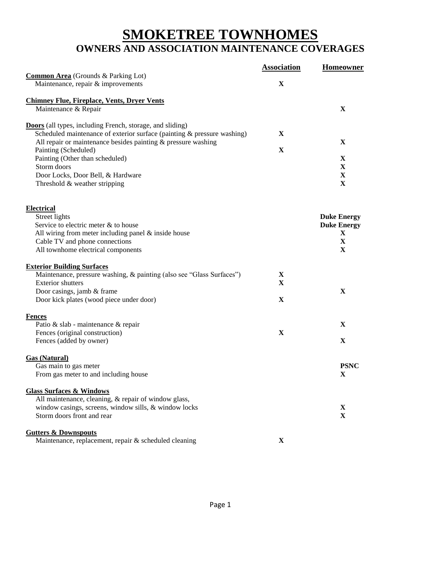## **SMOKETREE TOWNHOMES OWNERS AND ASSOCIATION MAINTENANCE COVERAGES**

|                                                                                         | <b>Association</b> | <b>Homeowner</b>   |
|-----------------------------------------------------------------------------------------|--------------------|--------------------|
| <b>Common Area</b> (Grounds & Parking Lot)                                              |                    |                    |
| Maintenance, repair & improvements                                                      | X                  |                    |
| <b>Chimney Flue, Fireplace, Vents, Dryer Vents</b>                                      |                    |                    |
| Maintenance & Repair                                                                    |                    | $\mathbf X$        |
|                                                                                         |                    |                    |
| <b>Doors</b> (all types, including French, storage, and sliding)                        |                    |                    |
| Scheduled maintenance of exterior surface (painting & pressure washing)                 | $\mathbf X$        |                    |
| All repair or maintenance besides painting $&$ pressure washing<br>Painting (Scheduled) | X                  | $\mathbf{X}$       |
| Painting (Other than scheduled)                                                         |                    | X                  |
| Storm doors                                                                             |                    | $\mathbf X$        |
| Door Locks, Door Bell, & Hardware                                                       |                    | X                  |
| Threshold & weather stripping                                                           |                    | $\mathbf X$        |
|                                                                                         |                    |                    |
| <b>Electrical</b>                                                                       |                    |                    |
| Street lights                                                                           |                    | <b>Duke Energy</b> |
| Service to electric meter & to house                                                    |                    | <b>Duke Energy</b> |
| All wiring from meter including panel $&$ inside house                                  |                    | X                  |
| Cable TV and phone connections                                                          |                    | $\mathbf X$        |
| All townhome electrical components                                                      |                    | X                  |
| <b>Exterior Building Surfaces</b>                                                       |                    |                    |
| Maintenance, pressure washing, & painting (also see "Glass Surfaces")                   | X                  |                    |
| <b>Exterior shutters</b>                                                                | X                  |                    |
| Door casings, jamb & frame                                                              |                    | $\mathbf X$        |
| Door kick plates (wood piece under door)                                                | X                  |                    |
|                                                                                         |                    |                    |
| <b>Fences</b><br>Patio & slab - maintenance & repair                                    |                    | X                  |
| Fences (original construction)                                                          | X                  |                    |
| Fences (added by owner)                                                                 |                    | X                  |
|                                                                                         |                    |                    |
| <b>Gas (Natural)</b>                                                                    |                    |                    |
| Gas main to gas meter                                                                   |                    | <b>PSNC</b>        |
| From gas meter to and including house                                                   |                    | X                  |
| <b>Glass Surfaces &amp; Windows</b>                                                     |                    |                    |
| All maintenance, cleaning, & repair of window glass,                                    |                    |                    |
| window casings, screens, window sills, & window locks                                   |                    | X                  |
| Storm doors front and rear                                                              |                    | $\mathbf X$        |
| <b>Gutters &amp; Downspouts</b>                                                         |                    |                    |
| Maintenance, replacement, repair & scheduled cleaning                                   | X                  |                    |